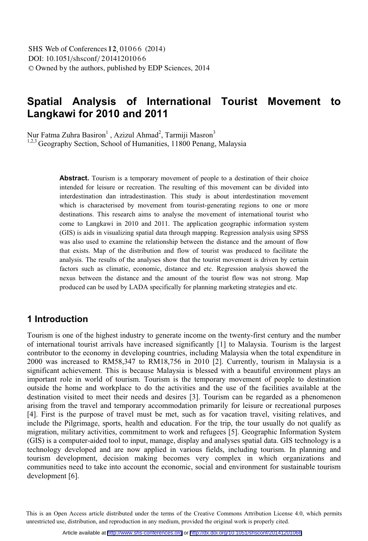# **Spatial Analysis of International Tourist Movement to Langkawi for 2010 and 2011**

Nur Fatma Zuhra Basiron<sup>1</sup> , Azizul Ahmad<sup>2</sup>, Tarmiji Masron<sup>3</sup>

<sup>1,2,3</sup> Geography Section, School of Humanities, 11800 Penang, Malaysia

**Abstract.** Tourism is a temporary movement of people to a destination of their choice intended for leisure or recreation. The resulting of this movement can be divided into interdestination dan intradestinastion. This study is about interdestination movement which is characterised by movement from tourist-generating regions to one or more destinations. This research aims to analyse the movement of international tourist who come to Langkawi in 2010 and 2011. The application geographic information system (GIS) is aids in visualizing spatial data through mapping. Regression analysis using SPSS was also used to examine the relationship between the distance and the amount of flow that exists. Map of the distribution and flow of tourist was produced to facilitate the analysis. The results of the analyses show that the tourist movement is driven by certain factors such as climatic, economic, distance and etc. Regression analysis showed the nexus between the distance and the amount of the tourist flow was not strong. Map produced can be used by LADA specifically for planning marketing strategies and etc.

### **1 Introduction**

Tourism is one of the highest industry to generate income on the twenty-first century and the number of international tourist arrivals have increased significantly [1] to Malaysia. Tourism is the largest contributor to the economy in developing countries, including Malaysia when the total expenditure in 2000 was increased to RM58,347 to RM18,756 in 2010 [2]. Currently, tourism in Malaysia is a significant achievement. This is because Malaysia is blessed with a beautiful environment plays an important role in world of tourism. Tourism is the temporary movement of people to destination outside the home and workplace to do the activities and the use of the facilities available at the destination visited to meet their needs and desires [3]. Tourism can be regarded as a phenomenon arising from the travel and temporary accommodation primarily for leisure or recreational purposes [4]. First is the purpose of travel must be met, such as for vacation travel, visiting relatives, and include the Pilgrimage, sports, health and education. For the trip, the tour usually do not qualify as migration, military activities, commitment to work and refugees [5]. Geographic Information System (GIS) is a computer-aided tool to input, manage, display and analyses spatial data. GIS technology is a technology developed and are now applied in various fields, including tourism. In planning and tourism development, decision making becomes very complex in which organizations and communities need to take into account the economic, social and environment for sustainable tourism development [6].

 This is an Open Access article distributed under the terms of the Creative Commons Attribution License 4.0, which permits unrestricted use, distribution, and reproduction in any medium, provided the original work is properly cited.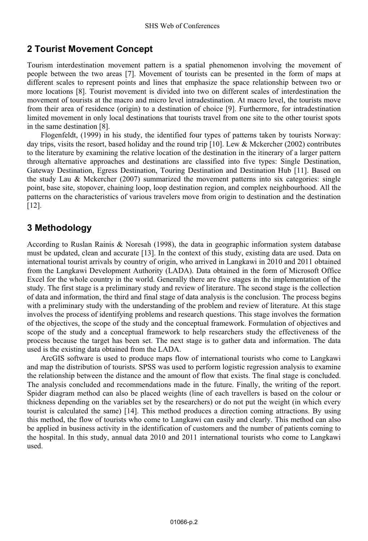### **2 Tourist Movement Concept**

Tourism interdestination movement pattern is a spatial phenomenon involving the movement of people between the two areas [7]. Movement of tourists can be presented in the form of maps at different scales to represent points and lines that emphasize the space relationship between two or more locations [8]. Tourist movement is divided into two on different scales of interdestination the movement of tourists at the macro and micro level intradestination. At macro level, the tourists move from their area of residence (origin) to a destination of choice [9]. Furthermore, for intradestination limited movement in only local destinations that tourists travel from one site to the other tourist spots in the same destination [8].

Flogenfeldt, (1999) in his study, the identified four types of patterns taken by tourists Norway: day trips, visits the resort, based holiday and the round trip [10]. Lew & Mckercher (2002) contributes to the literature by examining the relative location of the destination in the itinerary of a larger pattern through alternative approaches and destinations are classified into five types: Single Destination, Gateway Destination, Egress Destination, Touring Destination and Destination Hub [11]. Based on the study Lau & Mckercher (2007) summarized the movement patterns into six categories: single point, base site, stopover, chaining loop, loop destination region, and complex neighbourhood. All the patterns on the characteristics of various travelers move from origin to destination and the destination [12].

# **3 Methodology**

According to Ruslan Rainis & Noresah (1998), the data in geographic information system database must be updated, clean and accurate [13]. In the context of this study, existing data are used. Data on international tourist arrivals by country of origin, who arrived in Langkawi in 2010 and 2011 obtained from the Langkawi Development Authority (LADA). Data obtained in the form of Microsoft Office Excel for the whole country in the world. Generally there are five stages in the implementation of the study. The first stage is a preliminary study and review of literature. The second stage is the collection of data and information, the third and final stage of data analysis is the conclusion. The process begins with a preliminary study with the understanding of the problem and review of literature. At this stage involves the process of identifying problems and research questions. This stage involves the formation of the objectives, the scope of the study and the conceptual framework. Formulation of objectives and scope of the study and a conceptual framework to help researchers study the effectiveness of the process because the target has been set. The next stage is to gather data and information. The data used is the existing data obtained from the LADA.

ArcGIS software is used to produce maps flow of international tourists who come to Langkawi and map the distribution of tourists. SPSS was used to perform logistic regression analysis to examine the relationship between the distance and the amount of flow that exists. The final stage is concluded. The analysis concluded and recommendations made in the future. Finally, the writing of the report. Spider diagram method can also be placed weights (line of each travellers is based on the colour or thickness depending on the variables set by the researchers) or do not put the weight (in which every tourist is calculated the same) [14]. This method produces a direction coming attractions. By using this method, the flow of tourists who come to Langkawi can easily and clearly. This method can also be applied in business activity in the identification of customers and the number of patients coming to the hospital. In this study, annual data 2010 and 2011 international tourists who come to Langkawi used.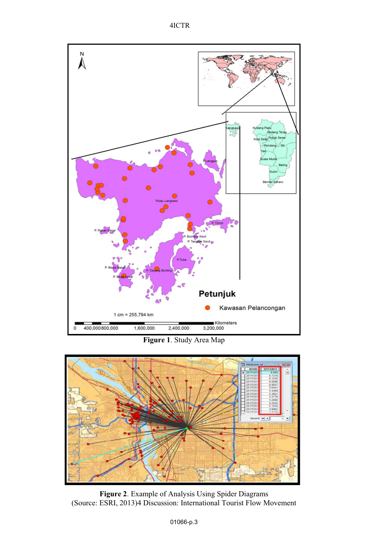



**Figure 1**. Study Area Map



**Figure 2**. Example of Analysis Using Spider Diagrams (Source: ESRI, 2013)4 Discussion: International Tourist Flow Movement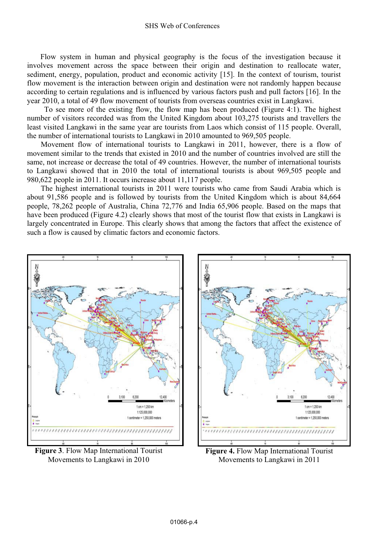#### SHS Web of Conferences

 Flow system in human and physical geography is the focus of the investigation because it involves movement across the space between their origin and destination to reallocate water, sediment, energy, population, product and economic activity [15]. In the context of tourism, tourist flow movement is the interaction between origin and destination were not randomly happen because according to certain regulations and is influenced by various factors push and pull factors [16]. In the year 2010, a total of 49 flow movement of tourists from overseas countries exist in Langkawi.

 To see more of the existing flow, the flow map has been produced (Figure 4:1). The highest number of visitors recorded was from the United Kingdom about 103,275 tourists and travellers the least visited Langkawi in the same year are tourists from Laos which consist of 115 people. Overall, the number of international tourists to Langkawi in 2010 amounted to 969,505 people.

Movement flow of international tourists to Langkawi in 2011, however, there is a flow of movement similar to the trends that existed in 2010 and the number of countries involved are still the same, not increase or decrease the total of 49 countries. However, the number of international tourists to Langkawi showed that in 2010 the total of international tourists is about 969,505 people and 980,622 people in 2011. It occurs increase about 11,117 people.

The highest international tourists in 2011 were tourists who came from Saudi Arabia which is about 91,586 people and is followed by tourists from the United Kingdom which is about 84,664 people, 78,262 people of Australia, China 72,776 and India 65,906 people. Based on the maps that have been produced (Figure 4.2) clearly shows that most of the tourist flow that exists in Langkawi is largely concentrated in Europe. This clearly shows that among the factors that affect the existence of such a flow is caused by climatic factors and economic factors.



**Figure 3**. Flow Map International Tourist Movements to Langkawi in 2010



**Figure 4.** Flow Map International Tourist Movements to Langkawi in 2011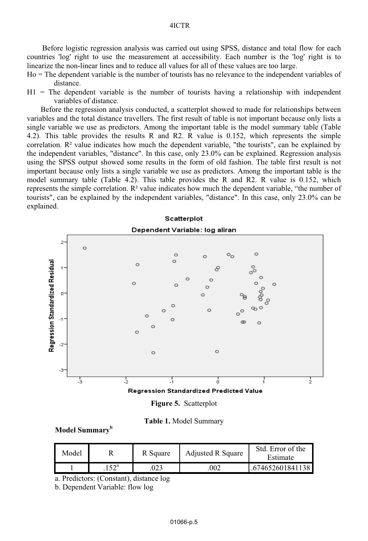#### 4ICTR

 Before logistic regression analysis was carried out using SPSS, distance and total flow for each countries 'log' right to use the measurement at accessibility. Each number is the 'log' right is to linearize the non-linear lines and to reduce all values for all of these values are too large.

- Ho = The dependent variable is the number of tourists has no relevance to the independent variables of distance.
- $H1$  = The dependent variable is the number of tourists having a relationship with independent variables of distance.

Before the regression analysis conducted, a scatterplot showed to made for relationships between variables and the total distance travellers. The first result of table is not important because only lists a single variable we use as predictors. Among the important table is the model summary table (Table 4.2). This table provides the results R and R2. R value is 0.152, which represents the simple correlation.  $R<sup>2</sup>$  value indicates how much the dependent variable, "the tourists", can be explained by the independent variables, "distance". In this case, only 23.0% can be explained. Regression analysis using the SPSS output showed some results in the form of old fashion. The table first result is not important because only lists a single variable we use as predictors. Among the important table is the model summary table (Table 4.2). This table provides the R and R2. R value is 0.152, which represents the simple correlation. R² value indicates how much the dependent variable, "the number of tourists", can be explained by the independent variables, "distance". In this case, only 23.0% can be explained.



**Figure 5.** Scatterplot

| Table 1. Model Summary |  |
|------------------------|--|
|------------------------|--|

**Model Summary<sup>b</sup>**

| Model |               | R Square | <b>Adjusted R Square</b> | Std. Error of the<br>Estimate |
|-------|---------------|----------|--------------------------|-------------------------------|
|       | $152^{\circ}$ | .023     | 002                      | .674652601841138              |

a. Predictors: (Constant), distance log

b. Dependent Variable: flow log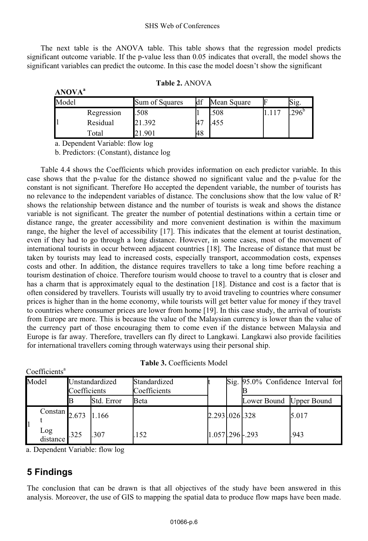The next table is the ANOVA table. This table shows that the regression model predicts significant outcome variable. If the p-value less than 0.05 indicates that overall, the model shows the significant variables can predict the outcome. In this case the model doesn't show the significant

| Model |            | Sum of Squares | df | Mean Square |      | $\mathrm{S1g}$ . |
|-------|------------|----------------|----|-------------|------|------------------|
|       | Regression | .508           |    | .508        | .117 | $296^{\circ}$    |
|       | Residual   | 21.392         | 47 | 455         |      |                  |
|       | Total      | .901           | 48 |             |      |                  |

a. Dependent Variable: flow log

**ANOVA<sup>a</sup>**

b. Predictors: (Constant), distance log

Table 4.4 shows the Coefficients which provides information on each predictor variable. In this case shows that the p-value for the distance showed no significant value and the p-value for the constant is not significant. Therefore Ho accepted the dependent variable, the number of tourists has no relevance to the independent variables of distance. The conclusions show that the low value of  $\mathbb{R}^2$ shows the relationship between distance and the number of tourists is weak and shows the distance variable is not significant. The greater the number of potential destinations within a certain time or distance range, the greater accessibility and more convenient destination is within the maximum range, the higher the level of accessibility [17]. This indicates that the element at tourist destination, even if they had to go through a long distance. However, in some cases, most of the movement of international tourists in occur between adjacent countries [18]. The Increase of distance that must be taken by tourists may lead to increased costs, especially transport, accommodation costs, expenses costs and other. In addition, the distance requires travellers to take a long time before reaching a tourism destination of choice. Therefore tourism would choose to travel to a country that is closer and has a charm that is approximately equal to the destination [18]. Distance and cost is a factor that is often considered by travellers. Tourists will usually try to avoid traveling to countries where consumer prices is higher than in the home economy, while tourists will get better value for money if they travel to countries where consumer prices are lower from home [19]. In this case study, the arrival of tourists from Europe are more. This is because the value of the Malaysian currency is lower than the value of the currency part of those encouraging them to come even if the distance between Malaysia and Europe is far away. Therefore, travellers can fly direct to Langkawi. Langkawi also provide facilities for international travellers coming through waterways using their personal ship.

| Model                  | Unstandardized<br>Coefficients |            | Standardized<br>Coefficients |               | Sig. 95.0% Confidence Interval for |       |
|------------------------|--------------------------------|------------|------------------------------|---------------|------------------------------------|-------|
|                        |                                | Std. Error | Beta                         |               | Lower Bound Upper Bound            |       |
| Constan $2.673$  1.166 |                                |            |                              | 2.293.026.328 |                                    | 5.017 |
| Log<br>distance        | .325                           | .307       | 152                          | 1.057.296.293 |                                    | .943  |

| <b>Table 3.</b> Coefficients Model |  |  |
|------------------------------------|--|--|
|------------------------------------|--|--|

a. Dependent Variable: flow log

# **5 Findings**

Coefficients<sup>a</sup>

The conclusion that can be drawn is that all objectives of the study have been answered in this analysis. Moreover, the use of GIS to mapping the spatial data to produce flow maps have been made.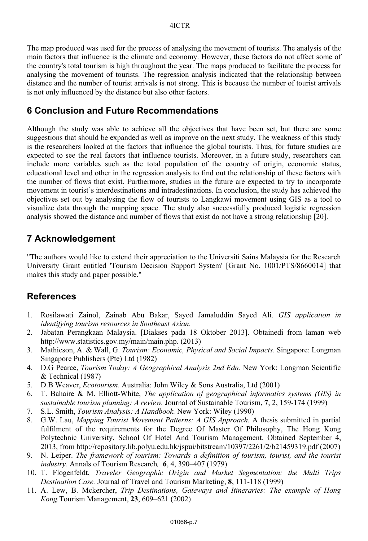The map produced was used for the process of analysing the movement of tourists. The analysis of the main factors that influence is the climate and economy. However, these factors do not affect some of the country's total tourism is high throughout the year. The maps produced to facilitate the process for analysing the movement of tourists. The regression analysis indicated that the relationship between distance and the number of tourist arrivals is not strong. This is because the number of tourist arrivals is not only influenced by the distance but also other factors.

### **6 Conclusion and Future Recommendations**

Although the study was able to achieve all the objectives that have been set, but there are some suggestions that should be expanded as well as improve on the next study. The weakness of this study is the researchers looked at the factors that influence the global tourists. Thus, for future studies are expected to see the real factors that influence tourists. Moreover, in a future study, researchers can include more variables such as the total population of the country of origin, economic status, educational level and other in the regression analysis to find out the relationship of these factors with the number of flows that exist. Furthermore, studies in the future are expected to try to incorporate movement in tourist's interdestinations and intradestinations. In conclusion, the study has achieved the objectives set out by analysing the flow of tourists to Langkawi movement using GIS as a tool to visualize data through the mapping space. The study also successfully produced logistic regression analysis showed the distance and number of flows that exist do not have a strong relationship [20].

# **7 Acknowledgement**

"The authors would like to extend their appreciation to the Universiti Sains Malaysia for the Research University Grant entitled 'Tourism Decision Support System' [Grant No. 1001/PTS/8660014] that makes this study and paper possible."

### **References**

- 1. Rosilawati Zainol, Zainab Abu Bakar, Sayed Jamaluddin Sayed Ali. *GIS application in identifying tourism resources in Southeast Asian*.
- 2. Jabatan Perangkaan Malaysia. [Diakses pada 18 Oktober 2013]. Obtainedi from laman web http://www.statistics.gov.my/main/main.php. (2013)
- 3. Mathieson, A. & Wall, G. *Tourism: Economic, Physical and Social Impacts*. Singapore: Longman Singapore Publishers (Pte) Ltd (1982)
- 4. D.G Pearce, *Tourism Today: A Geographical Analysis 2nd Edn.* New York: Longman Scientific & Technical (1987)
- 5. D.B Weaver, *Ecotourism*. Australia: John Wiley & Sons Australia, Ltd (2001)
- 6. T. Bahaire & M. Elliott-White, *The application of geographical informatics systems (GIS) in sustainable tourism planning: A review.* Journal of Sustainable Tourism, **7**, 2, 159-174 (1999)
- 7. S.L. Smith, *Tourism Analysis: A Handbook.* New York: Wiley (1990)
- 8. G.W. Lau, *Mapping Tourist Movement Patterns: A GIS Approach.* A thesis submitted in partial fulfilment of the requirements for the Degree Of Master Of Philosophy, The Hong Kong Polytechnic University, School Of Hotel And Tourism Management. Obtained September 4, 2013, from http://repository.lib.polyu.edu.hk/jspui/bitstream/10397/2261/2/b21459319.pdf (2007)
- 9. N. Leiper. *The framework of tourism: Towards a definition of tourism, tourist, and the tourist industry.* Annals of Tourism Research*,* **6**, 4, 390–407 (1979)
- 10. T. Flogenfeldt, *Traveler Geographic Origin and Market Segmentation: the Multi Trips Destination Case.* Journal of Travel and Tourism Marketing, **8**, 111-118 (1999)
- 11. A. Lew, B. Mckercher, *Trip Destinations, Gateways and Itineraries: The example of Hong Kong.*Tourism Management, **23**, 609–621 (2002)